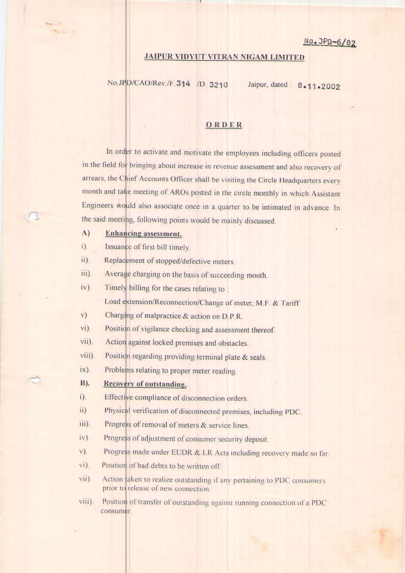## **JAIPUR VIDYUT VITRAN NIGAM LIMITED**

No.JPD/CAO/Rev./F.314 /D.3210 Jaipur, dated: 8.11.2002

## ORDER

In order to activate and motivate the employees including officers posted in the field for bringing about increase in revenue assessment and also recovery of arrears, the Chief Accounts Officer shall be visiting the Circle Headquarters every month and take meeting of AROs posted in the circle monthly in which Assistant Engineers would also associate once in a quarter to be intimated in advance. In the said meeting, following points would be mainly discussed.

## $A)$ **Enhancing** assessment.

med

 $i$ ). Issuance of first bill timely.

ii). Replacement of stopped/defective meters.

iii). Average charging on the basis of succeeding month.

 $iv)$ . Timely billing for the cases relating to:

Load extension/Reconnection/Change of meter, M.F. & Tariff

 $V)$ Charging of malpractice & action on D.P.R.

vi). Position of vigilance checking and assessment thereof.

Action against locked premises and obstacles. vii).

viii). Position regarding providing terminal plate & seals.

 $\{iX}\}$ . Problems relating to proper meter reading.

## **B**). Recovery of outstanding.

- i). Effective compliance of disconnection orders.
- ii) Physical verification of disconnected premises, including PDC.
- iii). Progress of removal of meters & service lines.
- $iv)$ . Progress of adjustment of consumer security deposit.
- Progress made under EUDR & LR Acts including recovery made so far.  $V$ ).
- $vi$ ). Position of bad debts to be written off.
- vii). Action laken to realize outstanding if any pertaining to PDC consumers prior to release of new connection.
- viii). Position of transfer of outstanding against running connection of a PDC consumer.